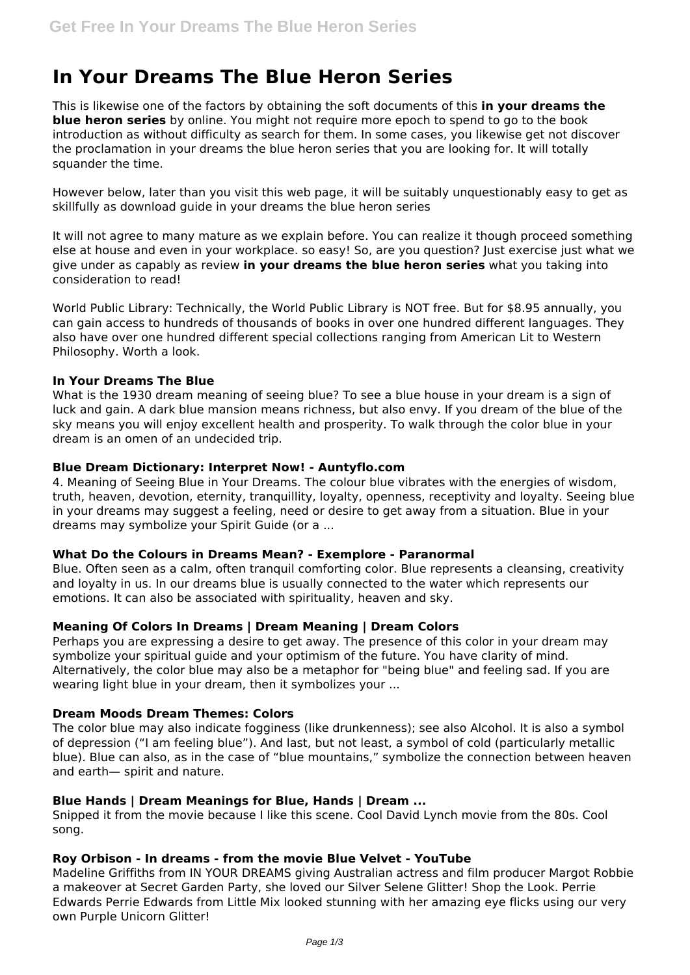# **In Your Dreams The Blue Heron Series**

This is likewise one of the factors by obtaining the soft documents of this **in your dreams the blue heron series** by online. You might not require more epoch to spend to go to the book introduction as without difficulty as search for them. In some cases, you likewise get not discover the proclamation in your dreams the blue heron series that you are looking for. It will totally squander the time.

However below, later than you visit this web page, it will be suitably unquestionably easy to get as skillfully as download guide in your dreams the blue heron series

It will not agree to many mature as we explain before. You can realize it though proceed something else at house and even in your workplace. so easy! So, are you question? Just exercise just what we give under as capably as review **in your dreams the blue heron series** what you taking into consideration to read!

World Public Library: Technically, the World Public Library is NOT free. But for \$8.95 annually, you can gain access to hundreds of thousands of books in over one hundred different languages. They also have over one hundred different special collections ranging from American Lit to Western Philosophy. Worth a look.

## **In Your Dreams The Blue**

What is the 1930 dream meaning of seeing blue? To see a blue house in your dream is a sign of luck and gain. A dark blue mansion means richness, but also envy. If you dream of the blue of the sky means you will enjoy excellent health and prosperity. To walk through the color blue in your dream is an omen of an undecided trip.

#### **Blue Dream Dictionary: Interpret Now! - Auntyflo.com**

4. Meaning of Seeing Blue in Your Dreams. The colour blue vibrates with the energies of wisdom, truth, heaven, devotion, eternity, tranquillity, loyalty, openness, receptivity and loyalty. Seeing blue in your dreams may suggest a feeling, need or desire to get away from a situation. Blue in your dreams may symbolize your Spirit Guide (or a ...

## **What Do the Colours in Dreams Mean? - Exemplore - Paranormal**

Blue. Often seen as a calm, often tranquil comforting color. Blue represents a cleansing, creativity and loyalty in us. In our dreams blue is usually connected to the water which represents our emotions. It can also be associated with spirituality, heaven and sky.

## **Meaning Of Colors In Dreams | Dream Meaning | Dream Colors**

Perhaps you are expressing a desire to get away. The presence of this color in your dream may symbolize your spiritual guide and your optimism of the future. You have clarity of mind. Alternatively, the color blue may also be a metaphor for "being blue" and feeling sad. If you are wearing light blue in your dream, then it symbolizes your ...

# **Dream Moods Dream Themes: Colors**

The color blue may also indicate fogginess (like drunkenness); see also Alcohol. It is also a symbol of depression ("I am feeling blue"). And last, but not least, a symbol of cold (particularly metallic blue). Blue can also, as in the case of "blue mountains," symbolize the connection between heaven and earth— spirit and nature.

## **Blue Hands | Dream Meanings for Blue, Hands | Dream ...**

Snipped it from the movie because I like this scene. Cool David Lynch movie from the 80s. Cool song.

## **Roy Orbison - In dreams - from the movie Blue Velvet - YouTube**

Madeline Griffiths from IN YOUR DREAMS giving Australian actress and film producer Margot Robbie a makeover at Secret Garden Party, she loved our Silver Selene Glitter! Shop the Look. Perrie Edwards Perrie Edwards from Little Mix looked stunning with her amazing eye flicks using our very own Purple Unicorn Glitter!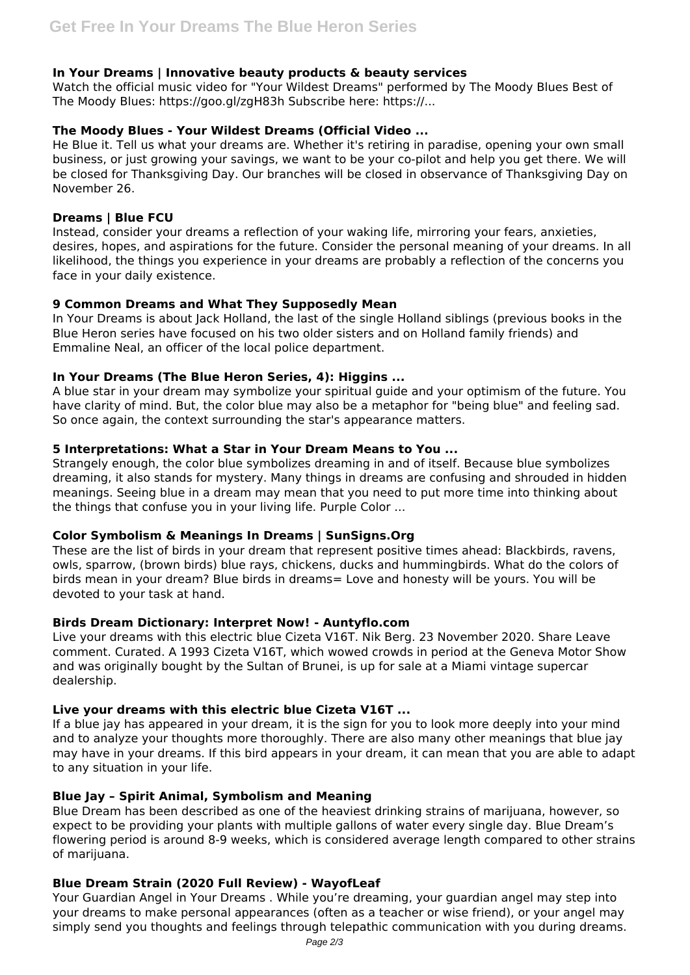## **In Your Dreams | Innovative beauty products & beauty services**

Watch the official music video for "Your Wildest Dreams" performed by The Moody Blues Best of The Moody Blues: https://goo.gl/zgH83h Subscribe here: https://...

## **The Moody Blues - Your Wildest Dreams (Official Video ...**

He Blue it. Tell us what your dreams are. Whether it's retiring in paradise, opening your own small business, or just growing your savings, we want to be your co-pilot and help you get there. We will be closed for Thanksgiving Day. Our branches will be closed in observance of Thanksgiving Day on November 26.

## **Dreams | Blue FCU**

Instead, consider your dreams a reflection of your waking life, mirroring your fears, anxieties, desires, hopes, and aspirations for the future. Consider the personal meaning of your dreams. In all likelihood, the things you experience in your dreams are probably a reflection of the concerns you face in your daily existence.

# **9 Common Dreams and What They Supposedly Mean**

In Your Dreams is about Jack Holland, the last of the single Holland siblings (previous books in the Blue Heron series have focused on his two older sisters and on Holland family friends) and Emmaline Neal, an officer of the local police department.

# **In Your Dreams (The Blue Heron Series, 4): Higgins ...**

A blue star in your dream may symbolize your spiritual guide and your optimism of the future. You have clarity of mind. But, the color blue may also be a metaphor for "being blue" and feeling sad. So once again, the context surrounding the star's appearance matters.

# **5 Interpretations: What a Star in Your Dream Means to You ...**

Strangely enough, the color blue symbolizes dreaming in and of itself. Because blue symbolizes dreaming, it also stands for mystery. Many things in dreams are confusing and shrouded in hidden meanings. Seeing blue in a dream may mean that you need to put more time into thinking about the things that confuse you in your living life. Purple Color ...

## **Color Symbolism & Meanings In Dreams | SunSigns.Org**

These are the list of birds in your dream that represent positive times ahead: Blackbirds, ravens, owls, sparrow, (brown birds) blue rays, chickens, ducks and hummingbirds. What do the colors of birds mean in your dream? Blue birds in dreams= Love and honesty will be yours. You will be devoted to your task at hand.

## **Birds Dream Dictionary: Interpret Now! - Auntyflo.com**

Live your dreams with this electric blue Cizeta V16T. Nik Berg. 23 November 2020. Share Leave comment. Curated. A 1993 Cizeta V16T, which wowed crowds in period at the Geneva Motor Show and was originally bought by the Sultan of Brunei, is up for sale at a Miami vintage supercar dealership.

## **Live your dreams with this electric blue Cizeta V16T ...**

If a blue jay has appeared in your dream, it is the sign for you to look more deeply into your mind and to analyze your thoughts more thoroughly. There are also many other meanings that blue jay may have in your dreams. If this bird appears in your dream, it can mean that you are able to adapt to any situation in your life.

## **Blue Jay – Spirit Animal, Symbolism and Meaning**

Blue Dream has been described as one of the heaviest drinking strains of marijuana, however, so expect to be providing your plants with multiple gallons of water every single day. Blue Dream's flowering period is around 8-9 weeks, which is considered average length compared to other strains of marijuana.

## **Blue Dream Strain (2020 Full Review) - WayofLeaf**

Your Guardian Angel in Your Dreams . While you're dreaming, your guardian angel may step into your dreams to make personal appearances (often as a teacher or wise friend), or your angel may simply send you thoughts and feelings through telepathic communication with you during dreams.